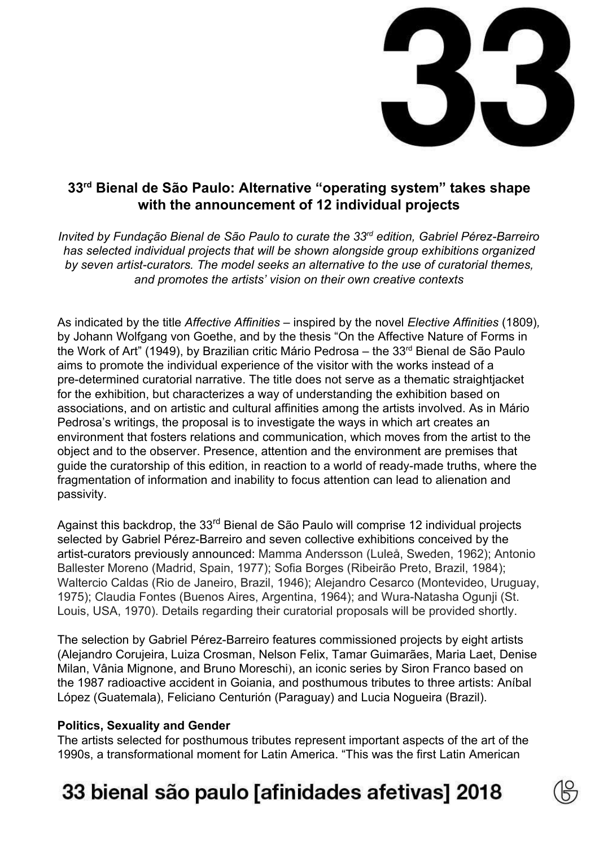

### **33 rd Bienal de São Paulo: Alternative "operating system" takes shape with the announcement of 12 individual projects**

*Invited by Fundação Bienal de São Paulo to curate the 33rd edition, Gabriel Pérez-Barreiro has selected individual projects that will be shown alongside group exhibitions organized by seven artist-curators. The model seeks an alternative to the use of curatorial themes, and promotes the artists' vision on their own creative contexts*

As indicated by the title *Affective Affinities* – inspired by the novel *Elective Affinities* (1809)*,* by Johann Wolfgang von Goethe, and by the thesis "On the Affective Nature of Forms in the Work of Art" (1949), by Brazilian critic Mário Pedrosa – the 33<sup>rd</sup> Bienal de São Paulo aims to promote the individual experience of the visitor with the works instead of a pre-determined curatorial narrative. The title does not serve as a thematic straightjacket for the exhibition, but characterizes a way of understanding the exhibition based on associations, and on artistic and cultural affinities among the artists involved. As in Mário Pedrosa's writings, the proposal is to investigate the ways in which art creates an environment that fosters relations and communication, which moves from the artist to the object and to the observer. Presence, attention and the environment are premises that guide the curatorship of this edition, in reaction to a world of ready-made truths, where the fragmentation of information and inability to focus attention can lead to alienation and passivity.

Against this backdrop, the 33<sup>rd</sup> Bienal de São Paulo will comprise 12 individual projects selected by Gabriel Pérez-Barreiro and seven collective exhibitions conceived by the artist-curators previously announced: Mamma Andersson (Luleå, Sweden, 1962); Antonio Ballester Moreno (Madrid, Spain, 1977); Sofia Borges (Ribeirão Preto, Brazil, 1984); Waltercio Caldas (Rio de Janeiro, Brazil, 1946); Alejandro Cesarco (Montevideo, Uruguay, 1975); Claudia Fontes (Buenos Aires, Argentina, 1964); and Wura-Natasha Ogunji (St. Louis, USA, 1970). Details regarding their curatorial proposals will be provided shortly.

The selection by Gabriel Pérez-Barreiro features commissioned projects by eight artists (Alejandro Corujeira, Luiza Crosman, Nelson Felix, Tamar Guimarães, Maria Laet, Denise Milan, Vânia Mignone, and Bruno Moreschi), an iconic series by Siron Franco based on the 1987 radioactive accident in Goiania, and posthumous tributes to three artists: Aníbal López (Guatemala), Feliciano Centurión (Paraguay) and Lucia Nogueira (Brazil).

#### **Politics, Sexuality and Gender**

The artists selected for posthumous tributes represent important aspects of the art of the 1990s, a transformational moment for Latin America. "This was the first Latin American

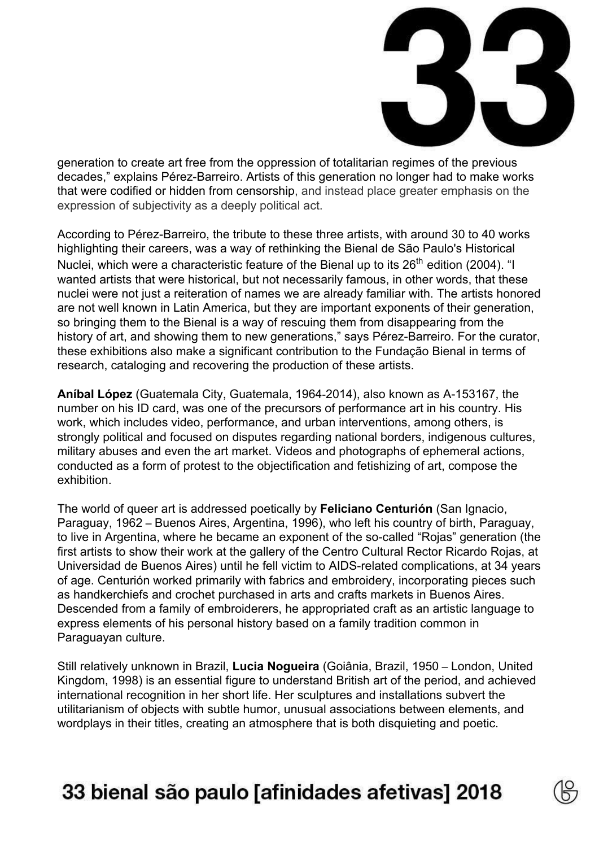

generation to create art free from the oppression of totalitarian regimes of the previous decades," explains Pérez-Barreiro. Artists of this generation no longer had to make works that were codified or hidden from censorship, and instead place greater emphasis on the expression of subjectivity as a deeply political act.

According to Pérez-Barreiro, the tribute to these three artists, with around 30 to 40 works highlighting their careers, was a way of rethinking the Bienal de São Paulo's Historical Nuclei, which were a characteristic feature of the Bienal up to its 26<sup>th</sup> edition (2004). "I wanted artists that were historical, but not necessarily famous, in other words, that these nuclei were not just a reiteration of names we are already familiar with. The artists honored are not well known in Latin America, but they are important exponents of their generation, so bringing them to the Bienal is a way of rescuing them from disappearing from the history of art, and showing them to new generations," says Pérez-Barreiro. For the curator, these exhibitions also make a significant contribution to the Fundação Bienal in terms of research, cataloging and recovering the production of these artists.

**Aníbal López** (Guatemala City, Guatemala, 1964-2014), also known as A-153167, the number on his ID card, was one of the precursors of performance art in his country. His work, which includes video, performance, and urban interventions, among others, is strongly political and focused on disputes regarding national borders, indigenous cultures, military abuses and even the art market. Videos and photographs of ephemeral actions, conducted as a form of protest to the objectification and fetishizing of art, compose the exhibition.

The world of queer art is addressed poetically by **Feliciano Centurión** (San Ignacio, Paraguay, 1962 – Buenos Aires, Argentina, 1996), who left his country of birth, Paraguay, to live in Argentina, where he became an exponent of the so-called "Rojas" generation (the first artists to show their work at the gallery of the Centro Cultural Rector Ricardo Rojas, at Universidad de Buenos Aires) until he fell victim to AIDS-related complications, at 34 years of age. Centurión worked primarily with fabrics and embroidery, incorporating pieces such as handkerchiefs and crochet purchased in arts and crafts markets in Buenos Aires. Descended from a family of embroiderers, he appropriated craft as an artistic language to express elements of his personal history based on a family tradition common in Paraguayan culture.

Still relatively unknown in Brazil, **Lucia Nogueira** (Goiânia, Brazil, 1950 – London, United Kingdom, 1998) is an essential figure to understand British art of the period, and achieved international recognition in her short life. Her sculptures and installations subvert the utilitarianism of objects with subtle humor, unusual associations between elements, and wordplays in their titles, creating an atmosphere that is both disquieting and poetic.

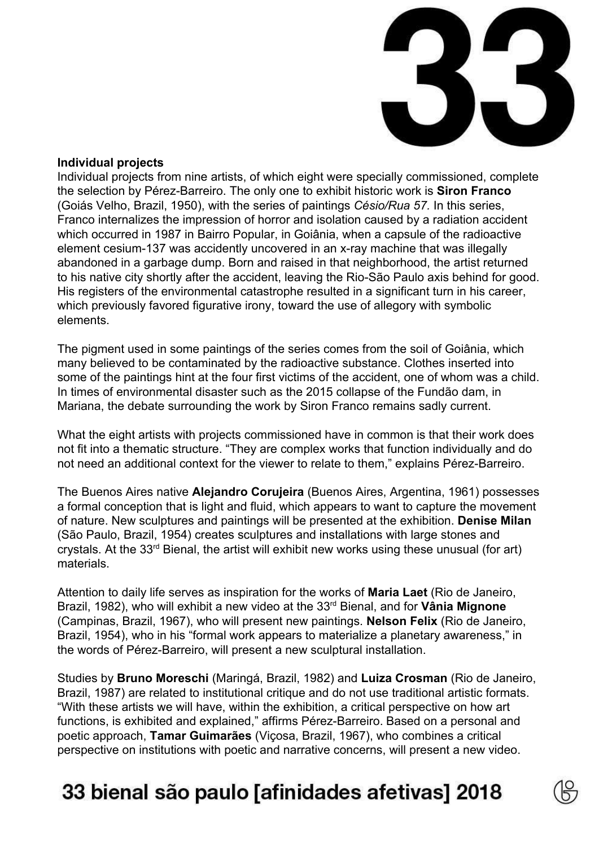

#### **Individual projects**

Individual projects from nine artists, of which eight were specially commissioned, complete the selection by Pérez-Barreiro. The only one to exhibit historic work is **Siron Franco** (Goiás Velho, Brazil, 1950), with the series of paintings *Césio/Rua 57.* In this series, Franco internalizes the impression of horror and isolation caused by a radiation accident which occurred in 1987 in Bairro Popular, in Goiânia, when a capsule of the radioactive element cesium-137 was accidently uncovered in an x-ray machine that was illegally abandoned in a garbage dump. Born and raised in that neighborhood, the artist returned to his native city shortly after the accident, leaving the Rio-São Paulo axis behind for good. His registers of the environmental catastrophe resulted in a significant turn in his career, which previously favored figurative irony, toward the use of allegory with symbolic elements.

The pigment used in some paintings of the series comes from the soil of Goiânia, which many believed to be contaminated by the radioactive substance. Clothes inserted into some of the paintings hint at the four first victims of the accident, one of whom was a child. In times of environmental disaster such as the 2015 collapse of the Fundão dam, in Mariana, the debate surrounding the work by Siron Franco remains sadly current.

What the eight artists with projects commissioned have in common is that their work does not fit into a thematic structure. "They are complex works that function individually and do not need an additional context for the viewer to relate to them," explains Pérez-Barreiro.

The Buenos Aires native **Alejandro Corujeira** (Buenos Aires, Argentina, 1961) possesses a formal conception that is light and fluid, which appears to want to capture the movement of nature. New sculptures and paintings will be presented at the exhibition. **Denise Milan** (São Paulo, Brazil, 1954) creates sculptures and installations with large stones and crystals. At the 33<sup>rd</sup> Bienal, the artist will exhibit new works using these unusual (for art) materials.

Attention to daily life serves as inspiration for the works of **Maria Laet** (Rio de Janeiro, Brazil, 1982), who will exhibit a new video at the 33rd Bienal, and for **Vânia Mignone** (Campinas, Brazil, 1967), who will present new paintings. **Nelson Felix** (Rio de Janeiro, Brazil, 1954), who in his "formal work appears to materialize a planetary awareness," in the words of Pérez-Barreiro, will present a new sculptural installation.

Studies by **Bruno Moreschi** (Maringá, Brazil, 1982) and **Luiza Crosman** (Rio de Janeiro, Brazil, 1987) are related to institutional critique and do not use traditional artistic formats. "With these artists we will have, within the exhibition, a critical perspective on how art functions, is exhibited and explained," affirms Pérez-Barreiro. Based on a personal and poetic approach, **Tamar Guimarães** (Viçosa, Brazil, 1967), who combines a critical perspective on institutions with poetic and narrative concerns, will present a new video.

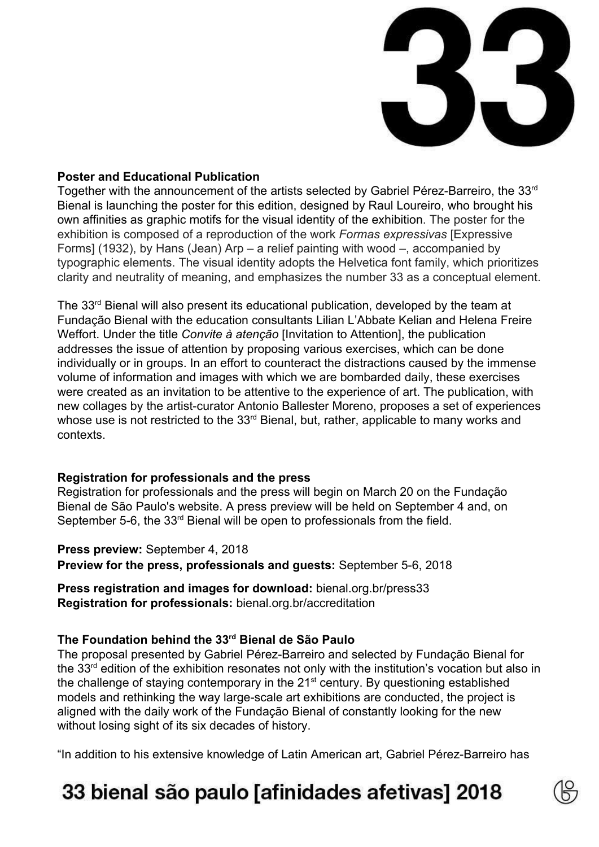

#### **Poster and Educational Publication**

Together with the announcement of the artists selected by Gabriel Pérez-Barreiro, the 33rd Bienal is launching the poster for this edition, designed by Raul Loureiro, who brought his own affinities as graphic motifs for the visual identity of the exhibition. The poster for the exhibition is composed of a reproduction of the work *Formas expressivas* [Expressive Forms] (1932), by Hans (Jean) Arp – a relief painting with wood –, accompanied by typographic elements. The visual identity adopts the Helvetica font family, which prioritizes clarity and neutrality of meaning, and emphasizes the number 33 as a conceptual element.

The 33<sup>rd</sup> Bienal will also present its educational publication, developed by the team at Fundação Bienal with the education consultants Lilian L'Abbate Kelian and Helena Freire Weffort. Under the title *Convite à atenção* [Invitation to Attention], the publication addresses the issue of attention by proposing various exercises, which can be done individually or in groups. In an effort to counteract the distractions caused by the immense volume of information and images with which we are bombarded daily, these exercises were created as an invitation to be attentive to the experience of art. The publication, with new collages by the artist-curator Antonio Ballester Moreno, proposes a set of experiences whose use is not restricted to the 33<sup>rd</sup> Bienal, but, rather, applicable to many works and contexts.

#### **Registration for professionals and the press**

Registration for professionals and the press will begin on March 20 on the Fundação Bienal de São Paulo's website. A press preview will be held on September 4 and, on September 5-6, the  $33<sup>rd</sup>$  Bienal will be open to professionals from the field.

**Press preview:** September 4, 2018 **Preview for the press, professionals and guests:** September 5-6, 2018

**Press registration and images for download:** bienal.org.br/press33 **Registration for professionals:** bienal.org.br/accreditation

### **The Foundation behind the 33 rd Bienal de São Paulo**

The proposal presented by Gabriel Pérez-Barreiro and selected by Fundação Bienal for the 33<sup>rd</sup> edition of the exhibition resonates not only with the institution's vocation but also in the challenge of staying contemporary in the 21<sup>st</sup> century. By questioning established models and rethinking the way large-scale art exhibitions are conducted, the project is aligned with the daily work of the Fundação Bienal of constantly looking for the new without losing sight of its six decades of history.

"In addition to his extensive knowledge of Latin American art, Gabriel Pérez-Barreiro has

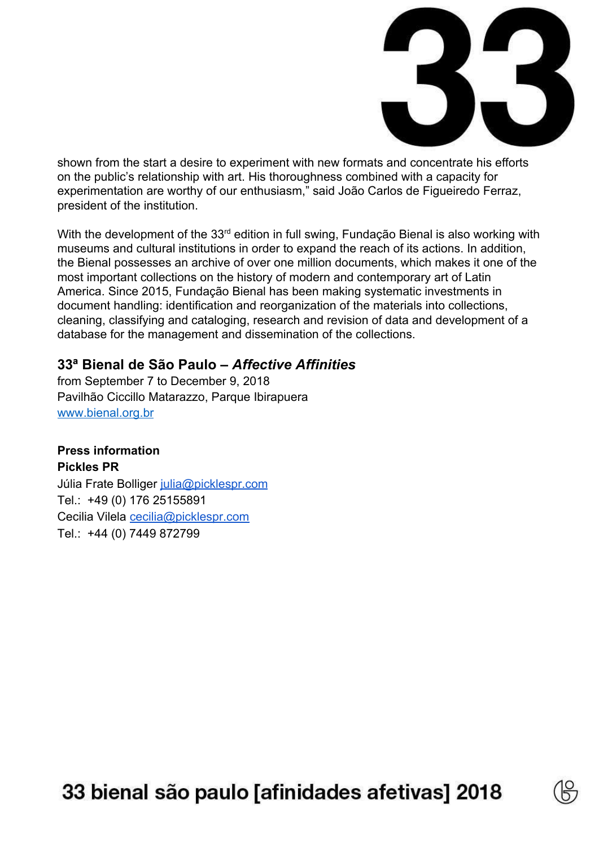

shown from the start a desire to experiment with new formats and concentrate his efforts on the public's relationship with art. His thoroughness combined with a capacity for experimentation are worthy of our enthusiasm," said João Carlos de Figueiredo Ferraz, president of the institution.

With the development of the 33<sup>rd</sup> edition in full swing, Fundação Bienal is also working with museums and cultural institutions in order to expand the reach of its actions. In addition, the Bienal possesses an archive of over one million documents, which makes it one of the most important collections on the history of modern and contemporary art of Latin America. Since 2015, Fundação Bienal has been making systematic investments in document handling: identification and reorganization of the materials into collections, cleaning, classifying and cataloging, research and revision of data and development of a database for the management and dissemination of the collections.

### **33ª Bienal de São Paulo –** *Affective Affinities*

from September 7 to December 9, 2018 Pavilhão Ciccillo Matarazzo, Parque Ibirapuera [www.bienal.org.br](http://www.bienal.org.br/)

### **Press information**

**Pickles PR** Júlia Frate Bolliger [julia@picklespr.com](mailto:julia@picklespr.com) Tel.: +49 (0) 176 25155891 Cecilia Vilela [cecilia@picklespr.com](mailto:cecilia@picklespr.com) Tel.: +44 (0) 7449 872799